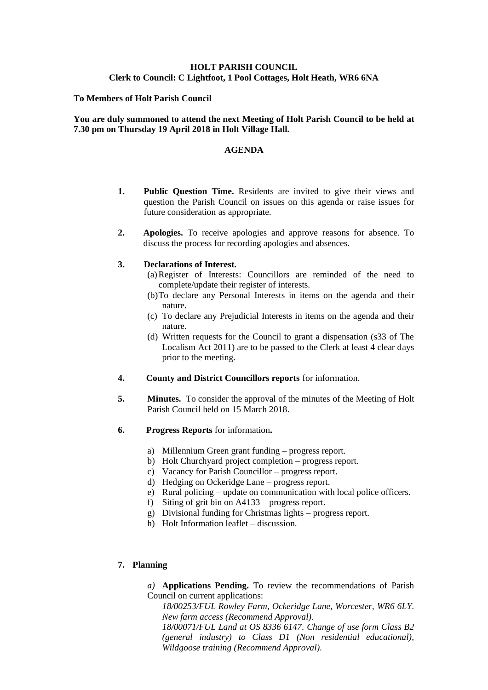# **HOLT PARISH COUNCIL Clerk to Council: C Lightfoot, 1 Pool Cottages, Holt Heath, WR6 6NA**

#### **To Members of Holt Parish Council**

#### **You are duly summoned to attend the next Meeting of Holt Parish Council to be held at 7.30 pm on Thursday 19 April 2018 in Holt Village Hall.**

#### **AGENDA**

- **1. Public Question Time.** Residents are invited to give their views and question the Parish Council on issues on this agenda or raise issues for future consideration as appropriate.
- **2. Apologies.** To receive apologies and approve reasons for absence. To discuss the process for recording apologies and absences.

#### **3. Declarations of Interest.**

- (a)Register of Interests: Councillors are reminded of the need to complete/update their register of interests.
- (b)To declare any Personal Interests in items on the agenda and their nature.
- (c) To declare any Prejudicial Interests in items on the agenda and their nature.
- (d) Written requests for the Council to grant a dispensation (s33 of The Localism Act 2011) are to be passed to the Clerk at least 4 clear days prior to the meeting.
- **4. County and District Councillors reports** for information.
- **5. Minutes.** To consider the approval of the minutes of the Meeting of Holt Parish Council held on 15 March 2018.
- **6. Progress Reports** for information**.**
	- a) Millennium Green grant funding progress report.
	- b) Holt Churchyard project completion progress report.
	- c) Vacancy for Parish Councillor progress report.
	- d) Hedging on Ockeridge Lane progress report.
	- e) Rural policing update on communication with local police officers.
	- f) Siting of grit bin on A4133 progress report.
	- g) Divisional funding for Christmas lights progress report.
	- h) Holt Information leaflet discussion.

#### **7. Planning**

*a)* **Applications Pending.** To review the recommendations of Parish Council on current applications:

*18/00253/FUL Rowley Farm, Ockeridge Lane, Worcester, WR6 6LY. New farm access (Recommend Approval).*

*18/00071/FUL Land at OS 8336 6147. Change of use form Class B2 (general industry) to Class D1 (Non residential educational), Wildgoose training (Recommend Approval).*